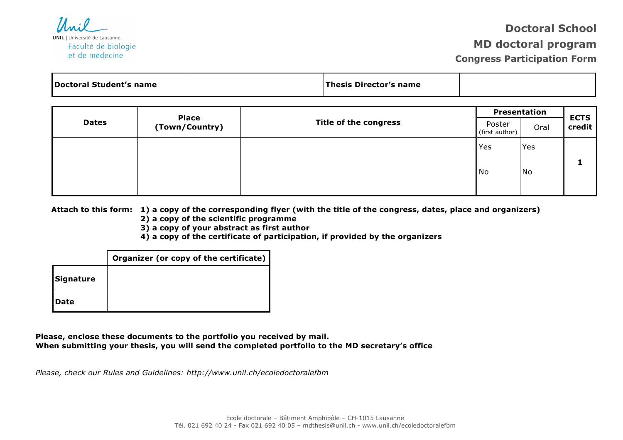

# **Doctoral School MD doctoral program Congress Participation Form**

| Doctoral Student's name | <b>Thesis Director's name</b> |  |
|-------------------------|-------------------------------|--|
|                         |                               |  |

|              |                                |                              | Presentation             |      |                       |
|--------------|--------------------------------|------------------------------|--------------------------|------|-----------------------|
| <b>Dates</b> | <b>Place</b><br>(Town/Country) | <b>Title of the congress</b> | Poster<br>(first author) | Oral | <b>ECTS</b><br>credit |
|              |                                |                              | Yes                      | Yes  |                       |
|              |                                |                              | No                       | No   |                       |

#### **Attach to this form: 1) a copy of the corresponding flyer (with the title of the congress, dates, place and organizers)**

- **2) a copy of the scientific programme**
- **3) a copy of your abstract as first author**
- **4) a copy of the certificate of participation, if provided by the organizers**

|           | Organizer (or copy of the certificate) |
|-----------|----------------------------------------|
| Signature |                                        |
| Date      |                                        |

**Please, enclose these documents to the portfolio you received by mail. When submitting your thesis, you will send the completed portfolio to the MD secretary's office**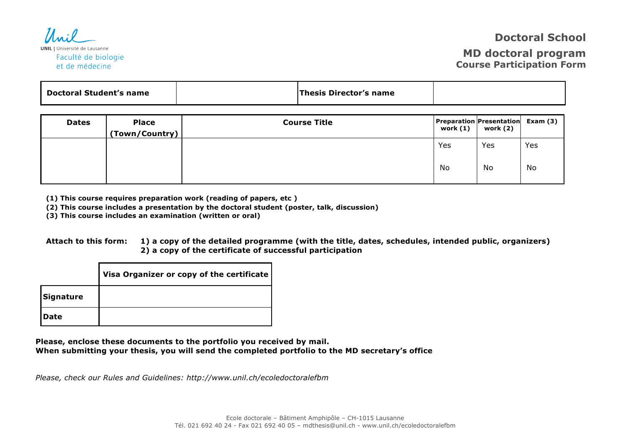

## **Doctoral School MD doctoral program Course Participation Form**

| <b>Doctoral Student's name</b> | Thesis Director's name |  |
|--------------------------------|------------------------|--|
|--------------------------------|------------------------|--|

| <b>Dates</b> | <b>Place</b><br>(Town/Country) | <b>Course Title</b> | work (1) | Preparation Presentation Exam (3)<br>work (2) |     |
|--------------|--------------------------------|---------------------|----------|-----------------------------------------------|-----|
|              |                                |                     | Yes      | Yes                                           | Yes |
|              |                                |                     | No       | No                                            | No  |

**(1) This course requires preparation work (reading of papers, etc )**

**(2) This course includes a presentation by the doctoral student (poster, talk, discussion)**

**(3) This course includes an examination (written or oral)**

**Attach to this form: 1) a copy of the detailed programme (with the title, dates, schedules, intended public, organizers) 2) a copy of the certificate of successful participation**

|             | Visa Organizer or copy of the certificate |
|-------------|-------------------------------------------|
| Signature   |                                           |
| <b>Date</b> |                                           |

**Please, enclose these documents to the portfolio you received by mail. When submitting your thesis, you will send the completed portfolio to the MD secretary's office**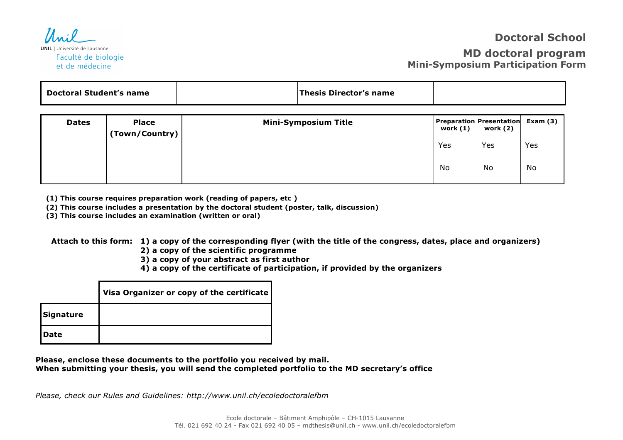

## **Doctoral School MD doctoral program Mini-Symposium Participation Form**

| <b>Thesis Director's name</b><br><b>Doctoral Student's name</b> |  |
|-----------------------------------------------------------------|--|
|-----------------------------------------------------------------|--|

| <b>Dates</b> | <b>Place</b><br>(Town/Country) | <b>Mini-Symposium Title</b> | <b>Preparation Presentation Exam (3)</b><br>work (1) | work (2) |     |
|--------------|--------------------------------|-----------------------------|------------------------------------------------------|----------|-----|
|              |                                |                             | Yes                                                  | Yes      | Yes |
|              |                                |                             | No                                                   | No       | No  |

**(1) This course requires preparation work (reading of papers, etc )**

**(2) This course includes a presentation by the doctoral student (poster, talk, discussion)**

**(3) This course includes an examination (written or oral)**

**Attach to this form: 1) a copy of the corresponding flyer (with the title of the congress, dates, place and organizers)**

- **2) a copy of the scientific programme**
- **3) a copy of your abstract as first author**
- **4) a copy of the certificate of participation, if provided by the organizers**

|           | Visa Organizer or copy of the certificate |
|-----------|-------------------------------------------|
| Signature |                                           |
| Date      |                                           |

**Please, enclose these documents to the portfolio you received by mail. When submitting your thesis, you will send the completed portfolio to the MD secretary's office**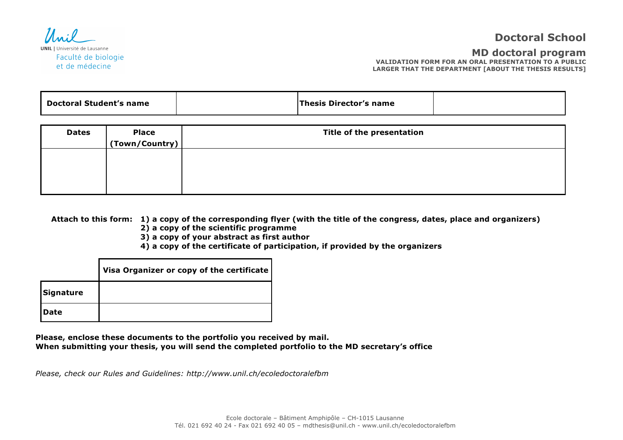

### **Doctoral School**

#### **MD doctoral program**

**VALIDATION FORM FOR AN ORAL PRESENTATION TO A PUBLIC LARGER THAT THE DEPARTMENT [ABOUT THE THESIS RESULTS]**

| <b>Doctoral Student's name</b> | Thesis Director's name |  |
|--------------------------------|------------------------|--|

| <b>Place</b> | Title of the presentation |
|--------------|---------------------------|
|              |                           |
|              |                           |
|              |                           |
|              |                           |
|              |                           |
|              | (Town/Country)            |

**Attach to this form: 1) a copy of the corresponding flyer (with the title of the congress, dates, place and organizers)**

- **2) a copy of the scientific programme**
- **3) a copy of your abstract as first author**
- **4) a copy of the certificate of participation, if provided by the organizers**

|           | Visa Organizer or copy of the certificate |
|-----------|-------------------------------------------|
| Signature |                                           |
| Date      |                                           |

**Please, enclose these documents to the portfolio you received by mail. When submitting your thesis, you will send the completed portfolio to the MD secretary's office**